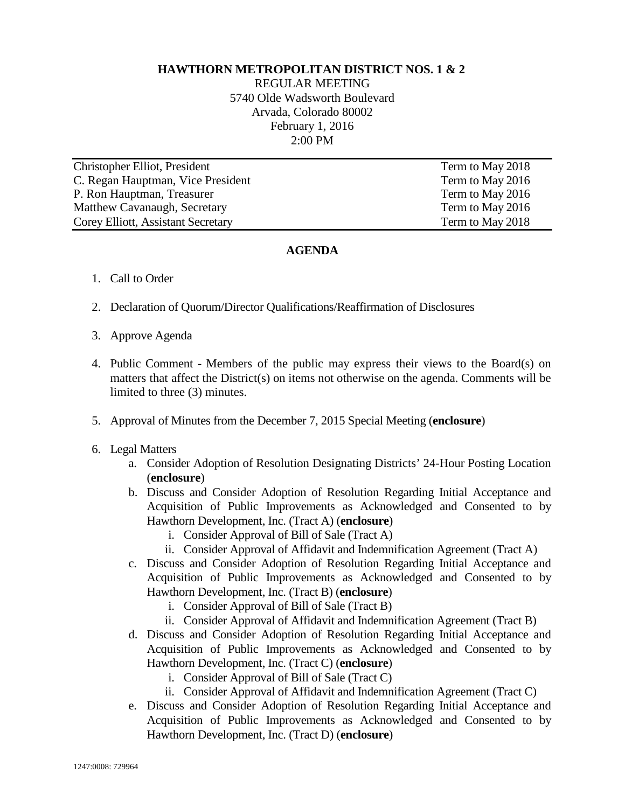## **HAWTHORN METROPOLITAN DISTRICT NOS. 1 & 2**

REGULAR MEETING 5740 Olde Wadsworth Boulevard Arvada, Colorado 80002 February 1, 2016 2:00 PM

| Christopher Elliot, President      | Term to May 2018 |
|------------------------------------|------------------|
| C. Regan Hauptman, Vice President  | Term to May 2016 |
| P. Ron Hauptman, Treasurer         | Term to May 2016 |
| Matthew Cavanaugh, Secretary       | Term to May 2016 |
| Corey Elliott, Assistant Secretary | Term to May 2018 |

## **AGENDA**

- 1. Call to Order
- 2. Declaration of Quorum/Director Qualifications/Reaffirmation of Disclosures
- 3. Approve Agenda
- 4. Public Comment Members of the public may express their views to the Board(s) on matters that affect the District(s) on items not otherwise on the agenda. Comments will be limited to three (3) minutes.
- 5. Approval of Minutes from the December 7, 2015 Special Meeting (**enclosure**)
- 6. Legal Matters
	- a. Consider Adoption of Resolution Designating Districts' 24-Hour Posting Location (**enclosure**)
	- b. Discuss and Consider Adoption of Resolution Regarding Initial Acceptance and Acquisition of Public Improvements as Acknowledged and Consented to by Hawthorn Development, Inc. (Tract A) (**enclosure**)
		- i. Consider Approval of Bill of Sale (Tract A)
		- ii. Consider Approval of Affidavit and Indemnification Agreement (Tract A)
	- c. Discuss and Consider Adoption of Resolution Regarding Initial Acceptance and Acquisition of Public Improvements as Acknowledged and Consented to by Hawthorn Development, Inc. (Tract B) (**enclosure**)
		- i. Consider Approval of Bill of Sale (Tract B)
		- ii. Consider Approval of Affidavit and Indemnification Agreement (Tract B)
	- d. Discuss and Consider Adoption of Resolution Regarding Initial Acceptance and Acquisition of Public Improvements as Acknowledged and Consented to by Hawthorn Development, Inc. (Tract C) (**enclosure**)
		- i. Consider Approval of Bill of Sale (Tract C)
		- ii. Consider Approval of Affidavit and Indemnification Agreement (Tract C)
	- e. Discuss and Consider Adoption of Resolution Regarding Initial Acceptance and Acquisition of Public Improvements as Acknowledged and Consented to by Hawthorn Development, Inc. (Tract D) (**enclosure**)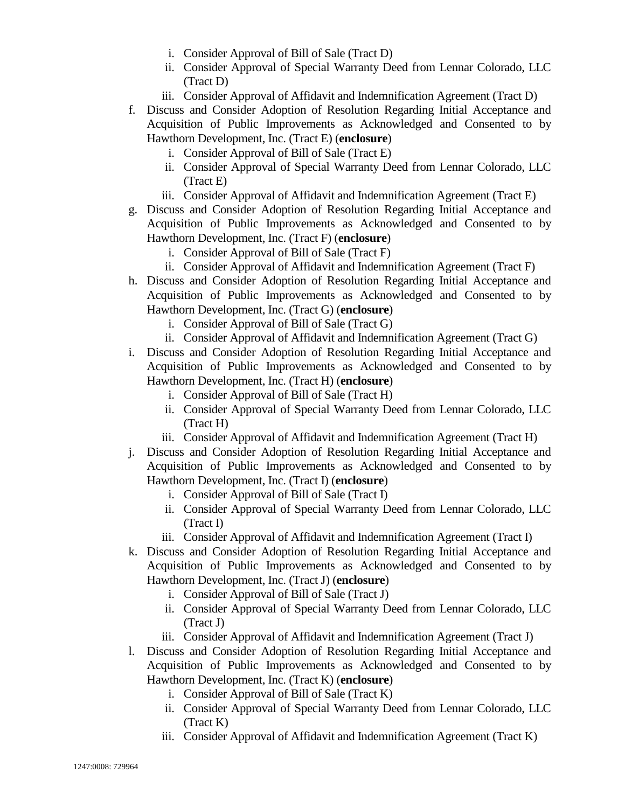- i. Consider Approval of Bill of Sale (Tract D)
- ii. Consider Approval of Special Warranty Deed from Lennar Colorado, LLC (Tract D)
- iii. Consider Approval of Affidavit and Indemnification Agreement (Tract D)
- f. Discuss and Consider Adoption of Resolution Regarding Initial Acceptance and Acquisition of Public Improvements as Acknowledged and Consented to by Hawthorn Development, Inc. (Tract E) (**enclosure**)
	- i. Consider Approval of Bill of Sale (Tract E)
	- ii. Consider Approval of Special Warranty Deed from Lennar Colorado, LLC (Tract E)
	- iii. Consider Approval of Affidavit and Indemnification Agreement (Tract E)
- g. Discuss and Consider Adoption of Resolution Regarding Initial Acceptance and Acquisition of Public Improvements as Acknowledged and Consented to by Hawthorn Development, Inc. (Tract F) (**enclosure**)
	- i. Consider Approval of Bill of Sale (Tract F)
	- ii. Consider Approval of Affidavit and Indemnification Agreement (Tract F)
- h. Discuss and Consider Adoption of Resolution Regarding Initial Acceptance and Acquisition of Public Improvements as Acknowledged and Consented to by Hawthorn Development, Inc. (Tract G) (**enclosure**)
	- i. Consider Approval of Bill of Sale (Tract G)
	- ii. Consider Approval of Affidavit and Indemnification Agreement (Tract G)
- i. Discuss and Consider Adoption of Resolution Regarding Initial Acceptance and Acquisition of Public Improvements as Acknowledged and Consented to by Hawthorn Development, Inc. (Tract H) (**enclosure**)
	- i. Consider Approval of Bill of Sale (Tract H)
	- ii. Consider Approval of Special Warranty Deed from Lennar Colorado, LLC (Tract H)
	- iii. Consider Approval of Affidavit and Indemnification Agreement (Tract H)
- j. Discuss and Consider Adoption of Resolution Regarding Initial Acceptance and Acquisition of Public Improvements as Acknowledged and Consented to by Hawthorn Development, Inc. (Tract I) (**enclosure**)
	- i. Consider Approval of Bill of Sale (Tract I)
	- ii. Consider Approval of Special Warranty Deed from Lennar Colorado, LLC (Tract I)
	- iii. Consider Approval of Affidavit and Indemnification Agreement (Tract I)
- k. Discuss and Consider Adoption of Resolution Regarding Initial Acceptance and Acquisition of Public Improvements as Acknowledged and Consented to by Hawthorn Development, Inc. (Tract J) (**enclosure**)
	- i. Consider Approval of Bill of Sale (Tract J)
	- ii. Consider Approval of Special Warranty Deed from Lennar Colorado, LLC (Tract J)
	- iii. Consider Approval of Affidavit and Indemnification Agreement (Tract J)
- l. Discuss and Consider Adoption of Resolution Regarding Initial Acceptance and Acquisition of Public Improvements as Acknowledged and Consented to by Hawthorn Development, Inc. (Tract K) (**enclosure**)
	- i. Consider Approval of Bill of Sale (Tract K)
	- ii. Consider Approval of Special Warranty Deed from Lennar Colorado, LLC (Tract K)
	- iii. Consider Approval of Affidavit and Indemnification Agreement (Tract K)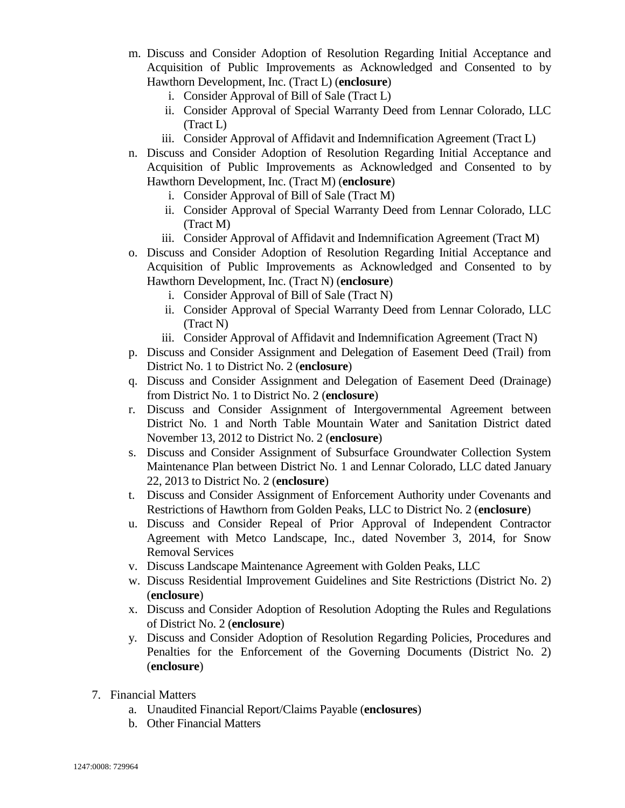- m. Discuss and Consider Adoption of Resolution Regarding Initial Acceptance and Acquisition of Public Improvements as Acknowledged and Consented to by Hawthorn Development, Inc. (Tract L) (**enclosure**)
	- i. Consider Approval of Bill of Sale (Tract L)
	- ii. Consider Approval of Special Warranty Deed from Lennar Colorado, LLC (Tract L)
	- iii. Consider Approval of Affidavit and Indemnification Agreement (Tract L)
- n. Discuss and Consider Adoption of Resolution Regarding Initial Acceptance and Acquisition of Public Improvements as Acknowledged and Consented to by Hawthorn Development, Inc. (Tract M) (**enclosure**)
	- i. Consider Approval of Bill of Sale (Tract M)
	- ii. Consider Approval of Special Warranty Deed from Lennar Colorado, LLC (Tract M)
	- iii. Consider Approval of Affidavit and Indemnification Agreement (Tract M)
- o. Discuss and Consider Adoption of Resolution Regarding Initial Acceptance and Acquisition of Public Improvements as Acknowledged and Consented to by Hawthorn Development, Inc. (Tract N) (**enclosure**)
	- i. Consider Approval of Bill of Sale (Tract N)
	- ii. Consider Approval of Special Warranty Deed from Lennar Colorado, LLC (Tract N)
	- iii. Consider Approval of Affidavit and Indemnification Agreement (Tract N)
- p. Discuss and Consider Assignment and Delegation of Easement Deed (Trail) from District No. 1 to District No. 2 (**enclosure**)
- q. Discuss and Consider Assignment and Delegation of Easement Deed (Drainage) from District No. 1 to District No. 2 (**enclosure**)
- r. Discuss and Consider Assignment of Intergovernmental Agreement between District No. 1 and North Table Mountain Water and Sanitation District dated November 13, 2012 to District No. 2 (**enclosure**)
- s. Discuss and Consider Assignment of Subsurface Groundwater Collection System Maintenance Plan between District No. 1 and Lennar Colorado, LLC dated January 22, 2013 to District No. 2 (**enclosure**)
- t. Discuss and Consider Assignment of Enforcement Authority under Covenants and Restrictions of Hawthorn from Golden Peaks, LLC to District No. 2 (**enclosure**)
- u. Discuss and Consider Repeal of Prior Approval of Independent Contractor Agreement with Metco Landscape, Inc., dated November 3, 2014, for Snow Removal Services
- v. Discuss Landscape Maintenance Agreement with Golden Peaks, LLC
- w. Discuss Residential Improvement Guidelines and Site Restrictions (District No. 2) (**enclosure**)
- x. Discuss and Consider Adoption of Resolution Adopting the Rules and Regulations of District No. 2 (**enclosure**)
- y. Discuss and Consider Adoption of Resolution Regarding Policies, Procedures and Penalties for the Enforcement of the Governing Documents (District No. 2) (**enclosure**)
- 7. Financial Matters
	- a. Unaudited Financial Report/Claims Payable (**enclosures**)
	- b. Other Financial Matters